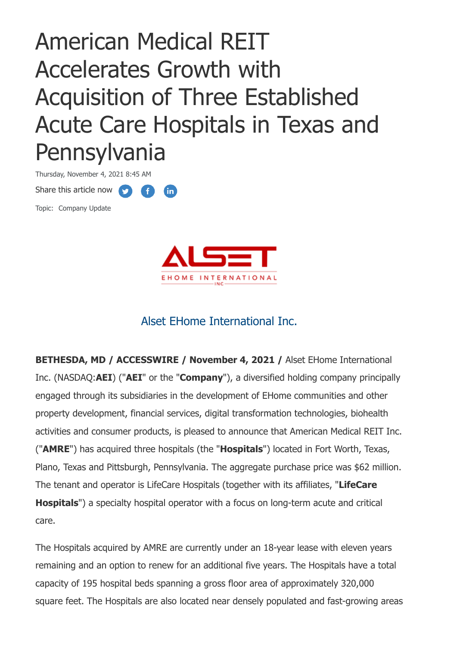# American Medical REIT Accelerates Growth with Acquisition of Three Established Acute Care Hospitals in Texas and Pennsylvania

Thursday, November 4, 2021 8:45 AM Share this article now **fin** Topic: Company Update



# Alset EHome International Inc.

**BETHESDA, MD / ACCESSWIRE / November 4, 2021 /** Alset EHome International Inc. (NASDAQ:**AEI**) ("**AEI**" or the "**Company**"), a diversified holding company principally engaged through its subsidiaries in the development of EHome communities and other property development, financial services, digital transformation technologies, biohealth activities and consumer products, is pleased to announce that American Medical REIT Inc. ("**AMRE**") has acquired three hospitals (the "**Hospitals**") located in Fort Worth, Texas, Plano, Texas and Pittsburgh, Pennsylvania. The aggregate purchase price was \$62 million. The tenant and operator is LifeCare Hospitals (together with its affiliates, "**LifeCare Hospitals**") a specialty hospital operator with a focus on long-term acute and critical care.

The Hospitals acquired by AMRE are currently under an 18-year lease with eleven years remaining and an option to renew for an additional five years. The Hospitals have a total capacity of 195 hospital beds spanning a gross floor area of approximately 320,000 square feet. The Hospitals are also located near densely populated and fast-growing areas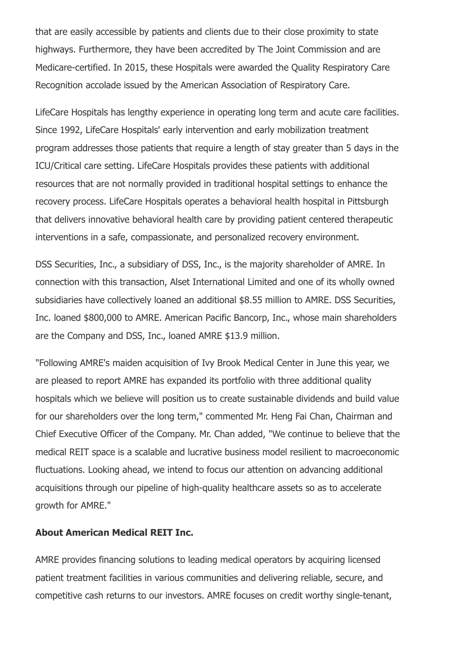that are easily accessible by patients and clients due to their close proximity to state highways. Furthermore, they have been accredited by The Joint Commission and are Medicare-certified. In 2015, these Hospitals were awarded the Quality Respiratory Care Recognition accolade issued by the American Association of Respiratory Care.

LifeCare Hospitals has lengthy experience in operating long term and acute care facilities. Since 1992, LifeCare Hospitals' early intervention and early mobilization treatment program addresses those patients that require a length of stay greater than 5 days in the ICU/Critical care setting. LifeCare Hospitals provides these patients with additional resources that are not normally provided in traditional hospital settings to enhance the recovery process. LifeCare Hospitals operates a behavioral health hospital in Pittsburgh that delivers innovative behavioral health care by providing patient centered therapeutic interventions in a safe, compassionate, and personalized recovery environment.

DSS Securities, Inc., a subsidiary of DSS, Inc., is the majority shareholder of AMRE. In connection with this transaction, Alset International Limited and one of its wholly owned subsidiaries have collectively loaned an additional \$8.55 million to AMRE. DSS Securities, Inc. loaned \$800,000 to AMRE. American Pacific Bancorp, Inc., whose main shareholders are the Company and DSS, Inc., loaned AMRE \$13.9 million.

"Following AMRE's maiden acquisition of Ivy Brook Medical Center in June this year, we are pleased to report AMRE has expanded its portfolio with three additional quality hospitals which we believe will position us to create sustainable dividends and build value for our shareholders over the long term," commented Mr. Heng Fai Chan, Chairman and Chief Executive Officer of the Company. Mr. Chan added, "We continue to believe that the medical REIT space is a scalable and lucrative business model resilient to macroeconomic fluctuations. Looking ahead, we intend to focus our attention on advancing additional acquisitions through our pipeline of high-quality healthcare assets so as to accelerate growth for AMRE."

#### **About American Medical REIT Inc.**

AMRE provides financing solutions to leading medical operators by acquiring licensed patient treatment facilities in various communities and delivering reliable, secure, and competitive cash returns to our investors. AMRE focuses on credit worthy single-tenant,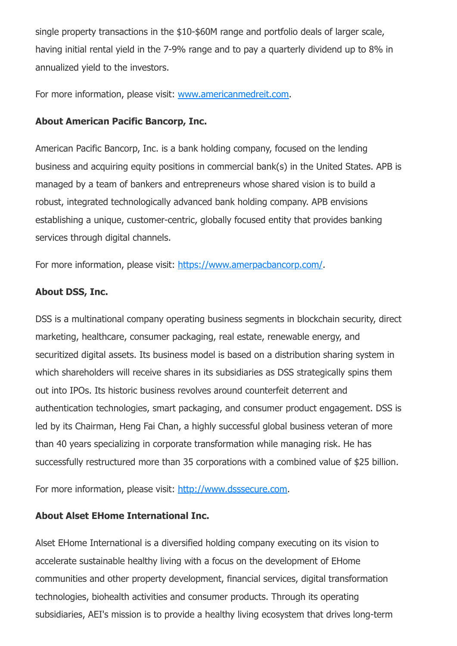single property transactions in the \$10-\$60M range and portfolio deals of larger scale, having initial rental yield in the 7-9% range and to pay a quarterly dividend up to 8% in annualized yield to the investors.

For more information, please visit: [www.americanmedreit.com.](https://pr.report/nDYptfr1)

### **About American Pacific Bancorp, Inc.**

American Pacific Bancorp, Inc. is a bank holding company, focused on the lending business and acquiring equity positions in commercial bank(s) in the United States. APB is managed by a team of bankers and entrepreneurs whose shared vision is to build a robust, integrated technologically advanced bank holding company. APB envisions establishing a unique, customer-centric, globally focused entity that provides banking services through digital channels.

For more information, please visit: [https://www.amerpacbancorp.com/](https://pr.report/Cg3dlF9O).

## **About DSS, Inc.**

DSS is a multinational company operating business segments in blockchain security, direct marketing, healthcare, consumer packaging, real estate, renewable energy, and securitized digital assets. Its business model is based on a distribution sharing system in which shareholders will receive shares in its subsidiaries as DSS strategically spins them out into IPOs. Its historic business revolves around counterfeit deterrent and authentication technologies, smart packaging, and consumer product engagement. DSS is led by its Chairman, Heng Fai Chan, a highly successful global business veteran of more than 40 years specializing in corporate transformation while managing risk. He has successfully restructured more than 35 corporations with a combined value of \$25 billion.

For more information, please visit: [http://www.dsssecure.com](https://pr.report/rv7DBq8j).

# **About Alset EHome International Inc.**

Alset EHome International is a diversified holding company executing on its vision to accelerate sustainable healthy living with a focus on the development of EHome communities and other property development, financial services, digital transformation technologies, biohealth activities and consumer products. Through its operating subsidiaries, AEI's mission is to provide a healthy living ecosystem that drives long-term